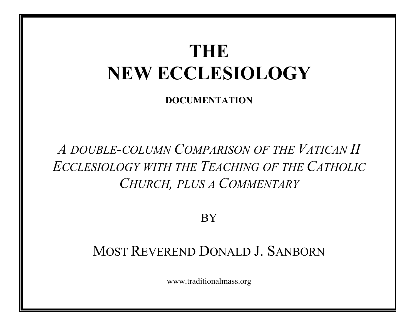# **THE** NEW ECCLESIOLOGY

DOCUMENTATION

*A DOUBLE-COLUMN COMPARISON OF THE VATICAN II ECCLESIOLOGY WITH THE TEACHING OF THE CATHOLIC CHURCH, PLUS A COMMENTARY*

**BY** 

# MOST REVEREND DONALD J. SANBORN

www.traditionalmass.org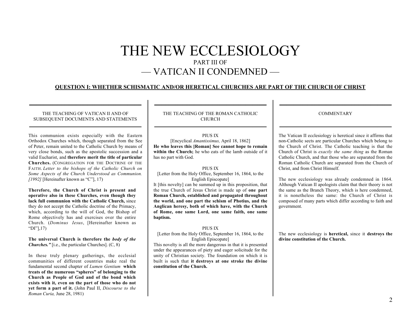# THE NEW ECCLESIOLOGY PART III OF — VATICAN II CONDEMNED —

## QUESTION I: WHETHER SCHISMATIC AND/OR HERETICAL CHURCHES ARE PART OF THE CHURCH OF CHRIST

#### THE TEACHING OF VATICAN II AND OF SUBSEQUENT DOCUMENTS AND STATEMENTS \_\_\_\_\_\_\_\_\_\_\_\_\_\_\_\_\_\_\_\_\_\_\_\_\_\_\_\_\_\_\_\_\_\_\_\_\_\_\_\_\_\_\_\_\_\_\_\_

\_\_\_\_\_\_\_\_\_\_\_\_\_\_\_\_\_\_\_\_\_\_\_\_\_\_\_\_\_\_\_\_\_\_\_\_\_\_\_\_\_\_\_\_\_\_\_\_

This communion exists especially with the Eastern Orthodox Churches which, though separated from the See of Peter, remain united to the Catholic Church by means of very close bonds, such as the apostolic succession and a valid Eucharist, and therefore merit the title of particular Churches. (CONGREGATION FOR THE DOCTRINE OF THE FAITH. *Letter to the bishops of the Catholic Church on Some Aspects of the Church Understood as Communion. [1992]* [Hereinafter known as "C"], 17)

Therefore, the Church of Christ is present and operative also in these Churches, even though they lack full communion with the Catholic Church, since they do not accept the Catholic doctrine of the Primacy, which, according to the will of God, the Bishop of Rome objectively has and exercises over the entire Church. (*Dominus Iesus*, [Hereinafter known as "DI"],17)

The universal Church is therefore the *body of the Churches."* [i.e., the particular Churches]. (C, 8)

In these truly plenary gatherings, the ecclesial communities of different countries make real the fundamental second chapter of *Lumen Gentium* which treats of the numerous "spheres" of belonging to the Church as People of God and of the bond which exists with it, even on the part of those who do not yet form a part of it. (John Paul II, *Discourse to the Roman Curia,* June 28, 1981)

THE TEACHING OF THE ROMAN CATHOLIC CHURCH  $\overline{\phantom{a}}$  , and the contract of the contract of the contract of the contract of the contract of the contract of the contract of the contract of the contract of the contract of the contract of the contract of the contrac

 $\overline{\phantom{a}}$  , and the contract of the contract of the contract of the contract of the contract of the contract of the contract of the contract of the contract of the contract of the contract of the contract of the contrac

#### PIUS IX [Encyclical *Amantissimus,* April 18, 1862] He who leaves this [Roman] See cannot hope to remain within the Church: he who eats of the lamb outside of it has no part with God.

#### PIUS IX

[Letter from the Holy Office, September 16, 1864, to the English Episcopate]

It [this novelty] can be summed up in this proposition, that the true Church of Jesus Christ is made up of one part Roman Church, established and propagated throughout the world, and one part the schism of Photius, and the Anglican heresy, both of which have, with the Church of Rome, one same Lord, one same faith, one same baptism.

#### PIUS IX

[Letter from the Holy Office, September 16, 1864, to the English Episcopate]

This novelty is all the more dangerous in that it is presented under the appearances of piety and eager solicitude for the unity of Christian society. The foundation on which it is built is such that it destroys at one stroke the divine constitution of the Church.

**COMMENTARY** 

 $\overline{\phantom{a}}$  , and the contract of the contract of the contract of the contract of the contract of the contract of the contract of the contract of the contract of the contract of the contract of the contract of the contrac

 $\overline{\phantom{a}}$  , and the contract of the contract of the contract of the contract of the contract of the contract of the contract of the contract of the contract of the contract of the contract of the contract of the contrac

The Vatican II ecclesiology is heretical since it affirms that non-Catholic sects are particular Churches which belong to the Church of Christ. The Catholic teaching is that the Church of Christ is *exactly the same thing* as the Roman Catholic Church, and that those who are separated from the Roman Catholic Church are separated from the Church of Christ, and from Christ Himself.

The new ecclesiology was already condemned in 1864. Although Vatican II apologists claim that their theory is not the same as the Branch Theory, which is here condemned, it is nonetheless the same: the Church of Christ is composed of many parts which differ according to faith and government.

The new ecclesiology is heretical, since it destroys the divine constitution of the Church.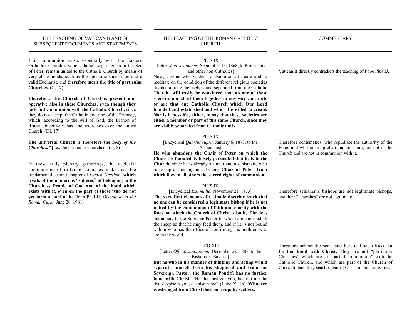#### THE TEACHING OF VATICAN II AND OF SUBSEQUENT DOCUMENTS AND STATEMENTS \_\_\_\_\_\_\_\_\_\_\_\_\_\_\_\_\_\_\_\_\_\_\_\_\_\_\_\_\_\_\_\_\_\_\_\_\_\_\_\_\_\_\_\_\_\_\_\_

\_\_\_\_\_\_\_\_\_\_\_\_\_\_\_\_\_\_\_\_\_\_\_\_\_\_\_\_\_\_\_\_\_\_\_\_\_\_\_\_\_\_\_\_\_\_\_\_

This communion exists especially with the Eastern Orthodox Churches which, though separated from the See of Peter, remain united to the Catholic Church by means of very close bonds, such as the apostolic succession and a valid Eucharist, and therefore merit the title of particular Churches. (C, 17)

Therefore, the Church of Christ is present and operative also in these Churches, even though they lack full communion with the Catholic Church, since they do not accept the Catholic doctrine of the Primacy, which, according to the will of God, the Bishop of Rome objectively has and exercises over the entire Church. (DI, 17)

The universal Church is therefore the *body of the Churches.*" [i.e., the particular Churches]. (C, 8)

In these truly plenary gatherings, the ecclesial communities of different countries make real the fundamental second chapter of *Lumen Gentium* which treats of the numerous "spheres" of belonging to the Church as People of God and of the bond which exists with it, even on the part of those who do not yet form a part of it. (John Paul II, *Discourse to the Roman Curia,* June 28, 1981)

#### THE TEACHING OF THE ROMAN CATHOLIC CHURCH  $\overline{\phantom{a}}$  , and the contract of the contract of the contract of the contract of the contract of the contract of the contract of the contract of the contract of the contract of the contract of the contract of the contrac

 $\overline{\phantom{a}}$  , and the contract of the contract of the contract of the contract of the contract of the contract of the contract of the contract of the contract of the contract of the contract of the contract of the contrac

#### PIUS IX

[Letter *Jam vos omnes,* September 13, 1868, to Protestants and other non-Catholics]

Now, anyone who wishes to examine with care and to meditate on the condition of the different religious societies divided among themselves and separated from the Catholic Church...will easily be convinced that no one of these societies nor all of them together in any way constitute or are that one Catholic Church which Our Lord founded and established and which He willed to create. Nor is it possible, either, to say that these societies are either a member or part of this same Church, since they are visibly separated from Catholic unity.

#### PIUS IX

[Encyclical *Quartus supra,* January 6, 1873, to the Armenians]

He who abandons the Chair of Peter on which the Church is founded, is falsely persuaded that he is in the Church, since he is already a sinner and a schismatic who raises up a chair against the one Chair of Peter, from which flow to all others the sacred rights of communion.

#### PIUS IX

[Encyclical *Etsi multa,* November 21, 1873] The very first elements of Catholic doctrine teach that no one can be considered a legitimate bishop if he is not united by the communion of faith and charity with the Rock on which the Church of Christ is built, if he does not adhere to the Supreme Pastor to whom are confided all the sheep so that he may feed them, and if he is not bound to him who has the office of confirming his brethren who are in the world.

#### LEO XIII

[Letter *Officio sanctissimo,* December 22, 1887, to the Bishops of Bavaria]

But he who in his manner of thinking and acting would separate himself from his shepherd and from his Sovereign Pastor, the Roman Pontiff, has no further bond with Christ: "He that heareth you, heareth me, he that despiseth you, despiseth me" (Luke X: 16). Whoever is estranged from Christ does not reap; he scatters.

**COMMENTARY** 

 $\overline{\phantom{a}}$  , and the contract of the contract of the contract of the contract of the contract of the contract of the contract of the contract of the contract of the contract of the contract of the contract of the contrac

 $\overline{\phantom{a}}$  , and the contract of the contract of the contract of the contract of the contract of the contract of the contract of the contract of the contract of the contract of the contract of the contract of the contrac

Vatican II directly contradicts the teaching of Pope Pius IX.

Therefore schismatics, who repudiate the authority of the Pope, and who raise up chairs against him, are not in the Church and are not in communion with it.

Therefore schismatic bishops are not legitimate bishops, and their "Churches" are not legitimate.

Therefore schismatic sects and heretical sects have no further bond with Christ. They are not "particular Churches" which are in "partial communion" with the Catholic Church, and which are part of the Church of Christ. In fact, they scatter against Christ in their activities.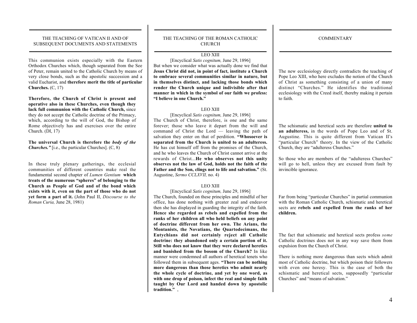$\overline{\phantom{a}}$  , and the contract of the contract of the contract of the contract of the contract of the contract of the contract of the contract of the contract of the contract of the contract of the contract of the contrac

 $\overline{\phantom{a}}$  , and the contract of the contract of the contract of the contract of the contract of the contract of the contract of the contract of the contract of the contract of the contract of the contract of the contrac

#### THE TEACHING OF VATICAN II AND OF SUBSEQUENT DOCUMENTS AND STATEMENTS \_\_\_\_\_\_\_\_\_\_\_\_\_\_\_\_\_\_\_\_\_\_\_\_\_\_\_\_\_\_\_\_\_\_\_\_\_\_\_\_\_\_\_\_\_\_\_\_

\_\_\_\_\_\_\_\_\_\_\_\_\_\_\_\_\_\_\_\_\_\_\_\_\_\_\_\_\_\_\_\_\_\_\_\_\_\_\_\_\_\_\_\_\_\_\_\_

This communion exists especially with the Eastern Orthodox Churches which, though separated from the See of Peter, remain united to the Catholic Church by means of very close bonds, such as the apostolic succession and a valid Eucharist, and therefore merit the title of particular Churches. (C, 17)

Therefore, the Church of Christ is present and operative also in these Churches, even though they lack full communion with the Catholic Church, since they do not accept the Catholic doctrine of the Primacy, which, according to the will of God, the Bishop of Rome objectively has and exercises over the entire Church. (DI, 17)

The universal Church is therefore the *body of the Churches.*" [i.e., the particular Churches]. (C, 8)

In these truly plenary gatherings, the ecclesial communities of different countries make real the fundamental second chapter of *Lumen Gentium* which treats of the numerous "spheres" of belonging to the Church as People of God and of the bond which exists with it, even on the part of those who do not yet form a part of it. (John Paul II, *Discourse to the Roman Curia,* June 28, 1981)

#### THE TEACHING OF THE ROMAN CATHOLIC CHURCH

 $\overline{\phantom{a}}$  , and the contract of the contract of the contract of the contract of the contract of the contract of the contract of the contract of the contract of the contract of the contract of the contract of the contrac

#### $\overline{\phantom{a}}$  , and the contract of the contract of the contract of the contract of the contract of the contract of the contract of the contract of the contract of the contract of the contract of the contract of the contrac LEO XIII

[Encyclical *Satis cognitum,* June 29, 1896] But when we consider what was actually done we find that Jesus Christ did not, in point of fact, institute a Church to embrace several communities similar in nature, but in themselves distinct, and lacking those bonds which render the Church unique and indivisible after that manner in which in the symbol of our faith we profess: "I believe in one Church."

#### LEO XIII

[Encyclical *Satis cognitum,* June 29, 1896] The Church of Christ, therefore, is one and the same forever; those who leave it depart from the will and command of Christ the Lord — leaving the path of salvation they enter on that of perdition. "Whosoever is separated from the Church is united to an adulteress. He has cut himself off from the promises of the Church, and he who leaves the Church of Christ cannot arrive at the rewards of Christ...He who observes not this unity observes not the law of God, holds not the faith of the Father and the Son, clings not to life and salvation." (St. Augustine, *Sermo CCLXVII,* no. 4)

#### LEO XIII

[Encyclical *Satis cognitum,* June 29, 1896] The Church, founded on these principles and mindful of her office, has done nothing with greater zeal and endeavor then she has displayed in guarding the integrity of the faith. Hence she regarded as rebels and expelled from the ranks of her children all who held beliefs on any point of doctrine different from her own. The Arians, the Montanists, the Novatians, the Quartodecimans, the Eutychians did not certainly reject all Catholic doctrine: they abandoned only a certain portion of it. Still who does not know that they were declared heretics and banished from the bosom of the Church? In like manner were condemned all authors of heretical tenets who followed them in subsequent ages. "There can be nothing more dangerous than those heretics who admit nearly the whole cycle of doctrine, and yet by one word, as with one drop of poison, infect the real and simple faith taught by Our Lord and handed down by apostolic tradition.".

The new ecclesiology directly contradicts the teaching of Pope Leo XIII, who here excludes the notion of the Church of Christ as something consisting of a union of many distinct "Churches." He identifies the traditional ecclesiology with the Creed itself, thereby making it pertain to faith.

The schismatic and heretical sects are therefore united to an adulteress, in the words of Pope Leo and of St. Augustine. This is quite different from Vatican II's "particular Church" theory. In the view of the Catholic Church, they are "adulteress Churches."

So those who are members of the "adulteress Churches" will go to hell, unless they are excused from fault by invincible ignorance.

Far from being "particular Churches" in partial communion with the Roman Catholic Church, schismatic and heretical sects are rebels and expelled from the ranks of her children.

The fact that schismatic and heretical sects profess *some* Catholic doctrines does not in any way save them from expulsion from the Church of Christ.

There is nothing more dangerous than sects which admit most of Catholic doctrine, but which poison their followers with even one heresy. This is the case of both the schismatic and heretical sects, supposedly "particular Churches" and "means of salvation."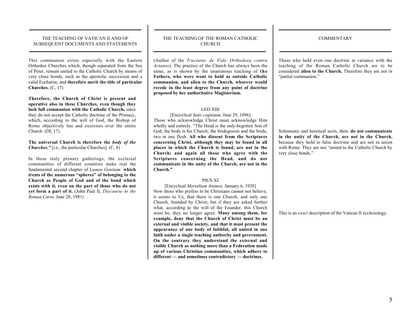#### THE TEACHING OF VATICAN II AND OF SUBSEQUENT DOCUMENTS AND STATEMENTS \_\_\_\_\_\_\_\_\_\_\_\_\_\_\_\_\_\_\_\_\_\_\_\_\_\_\_\_\_\_\_\_\_\_\_\_\_\_\_\_\_\_\_\_\_\_\_\_

\_\_\_\_\_\_\_\_\_\_\_\_\_\_\_\_\_\_\_\_\_\_\_\_\_\_\_\_\_\_\_\_\_\_\_\_\_\_\_\_\_\_\_\_\_\_\_\_

This communion exists especially with the Eastern Orthodox Churches which, though separated from the See of Peter, remain united to the Catholic Church by means of very close bonds, such as the apostolic succession and a valid Eucharist, and therefore merit the title of particular Churches. (C, 17)

Therefore, the Church of Christ is present and operative also in these Churches, even though they lack full communion with the Catholic Church, since they do not accept the Catholic doctrine of the Primacy, which, according to the will of God, the Bishop of Rome objectively has and exercises over the entire Church. (DI, 17)

The universal Church is therefore the *body of the Churches."* [i.e., the particular Churches]. (C, 8)

In these truly plenary gatherings, the ecclesial communities of different countries make real the fundamental second chapter of *Lumen Gentium* which treats of the numerous "spheres" of belonging to the Church as People of God and of the bond which exists with it, even on the part of those who do not yet form a part of it. (John Paul II, *Discourse to the Roman Curia,* June 28, 1981)

#### THE TEACHING OF THE ROMAN CATHOLIC CHURCH  $\overline{\phantom{a}}$  , and the contract of the contract of the contract of the contract of the contract of the contract of the contract of the contract of the contract of the contract of the contract of the contract of the contrac

 $\overline{\phantom{a}}$  , and the contract of the contract of the contract of the contract of the contract of the contract of the contract of the contract of the contract of the contract of the contract of the contract of the contrac

(Author of the *Tractatus de Fide Orthodoxa contra Arianos*). The practice of the Church has always been the same, as is shown by the unanimous teaching of the Fathers, who were wont to hold as outside Catholic communion, and alien to the Church, whoever would recede in the least degree from any point of doctrine proposed by her authoritative Magisterium.

#### LEO XIII

[Encyclical *Satis cognitum,* June 29, 1896] Those who acknowledge Christ must acknowledge Him wholly and entirely. "The Head is the only-begotten Son of God, the body is his Church; the bridegroom and the bride, two in one flesh. All who dissent from the Scriptures concerning Christ, although they may be found in all places in which the Church is found, are not in the Church; and again all those who agree with the Scriptures concerning the Head, and do not communicate in the unity of the Church, are not in the Church."

#### PIUS XI

[Encyclical *Mortalium Animos,* January 6, 1928] Now those who profess to be Christians cannot not believe, it seems to Us, that there is one Church, and only one Church, founded by Christ; but if they are asked further what, according to the will of the Founder, this Church must be, they no longer agree. Many among them, for example, deny that the Church of Christ must be an external and visible society, and that it must present the appearance of one body of faithful, all united in one faith under a single teaching authority and government. On the contrary they understand the external and visible Church as nothing more than a Federation made up of various Christian communities, which adhere to different — and sometimes contradictory — doctrines.

**COMMENTARY** 

 $\overline{\phantom{a}}$  , and the contract of the contract of the contract of the contract of the contract of the contract of the contract of the contract of the contract of the contract of the contract of the contract of the contrac

 $\overline{\phantom{a}}$  , and the contract of the contract of the contract of the contract of the contract of the contract of the contract of the contract of the contract of the contract of the contract of the contract of the contrac

Those who hold even one doctrine at variance with the teaching of the Roman Catholic Church are to be considered alien to the Church. Therefore they are not in "partial communion."

Schismatic and heretical sects, then, do not communicate in the unity of the Church, are not in the Church, because they hold to false doctrine and are not in union with Rome. They are not "united to the Catholic Church by very close bonds."

This is an *exact* description of the Vatican II ecclesiology.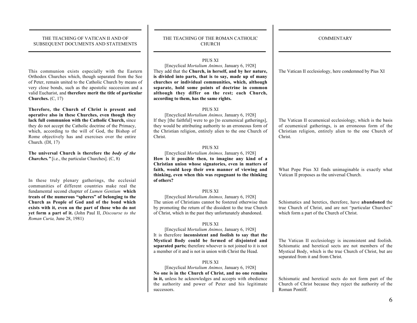\_\_\_\_\_\_\_\_\_\_\_\_\_\_\_\_\_\_\_\_\_\_\_\_\_\_\_\_\_\_\_\_\_\_\_\_\_\_\_\_\_\_\_\_\_\_\_\_

This communion exists especially with the Eastern Orthodox Churches which, though separated from the See of Peter, remain united to the Catholic Church by means of very close bonds, such as the apostolic succession and a valid Eucharist, and therefore merit the title of particular Churches. (C, 17)

Therefore, the Church of Christ is present and operative also in these Churches, even though they lack full communion with the Catholic Church, since they do not accept the Catholic doctrine of the Primacy, which, according to the will of God, the Bishop of Rome objectively has and exercises over the entire Church. (DI, 17)

The universal Church is therefore the *body of the Churches."* [i.e., the particular Churches]. (C, 8)

In these truly plenary gatherings, the ecclesial communities of different countries make real the fundamental second chapter of *Lumen Gentium* which treats of the numerous "spheres" of belonging to the Church as People of God and of the bond which exists with it, even on the part of those who do not yet form a part of it. (John Paul II, *Discourse to the Roman Curia,* June 28, 1981)

#### THE TEACHING OF THE ROMAN CATHOLIC CHURCH  $\overline{\phantom{a}}$  , and the contract of the contract of the contract of the contract of the contract of the contract of the contract of the contract of the contract of the contract of the contract of the contract of the contrac

 $\overline{\phantom{a}}$  , and the contract of the contract of the contract of the contract of the contract of the contract of the contract of the contract of the contract of the contract of the contract of the contract of the contrac

#### PIUS XI

[Encyclical *Mortalium Animos,* January 6, 1928] They add that the Church, in herself, and by her nature, is divided into parts, that is to say, made up of many churches or individual communities, which, although separate, hold some points of doctrine in common although they differ on the rest; each Church, according to them, has the same rights.

#### PIUS XI

[Encyclical *Mortalium Animos,* January 6, 1928] If they [the faithful] were to go [to ecumenical gatherings], they would be attributing authority to an erroneous form of the Christian religion, entirely alien to the one Church of Christ.

#### PIUS XI

[Encyclical *Mortalium Animos,* January 6, 1928] How is it possible then, to imagine any kind of a Christian union whose signatories, even in matters of faith, would keep their own manner of viewing and thinking, even when this was repugnant to the thinking of others?

#### PIUS XI

[Encyclical *Mortalium Animos,* January 6, 1928] The union of Christians cannot be fostered otherwise than by promoting the return of the dissident to the true Church of Christ, which in the past they unfortunately abandoned.

#### PIUS XI

[Encyclical *Mortalium Animos,* January 6, 1928] It is therefore inconsistent and foolish to say that the Mystical Body could be formed of disjointed and separated parts; therefore whoever is not joined to it is not a member of it and is not in union with Christ the Head.

#### PIUS XI

[Encyclical *Mortalium Animos,* January 6, 1928] No one is in the Church of Christ, and no one remains in it, unless he acknowledges and accepts with obedience the authority and power of Peter and his legitimate successors.

The Vatican II ecclesiology, here condemned by Pius XI

The Vatican II ecumenical ecclesiology, which is the basis of ecumenical gatherings, is an erroneous form of the Christian religion, entirely alien to the one Church of Christ.

What Pope Pius XI finds unimaginable is exactly what Vatican II proposes as the universal Church.

Schismatics and heretics, therefore, have abandoned the true Church of Christ, and are not "particular Churches" which form a part of the Church of Christ.

The Vatican II ecclesiology is inconsistent and foolish. Schismatic and heretical sects are not members of the Mystical Body, which is the true Church of Christ, but are separated from it and from Christ.

Schismatic and heretical sects do not form part of the Church of Christ because they reject the authority of the Roman Pontiff.

 $\overline{\phantom{a}}$  , and the contract of the contract of the contract of the contract of the contract of the contract of the contract of the contract of the contract of the contract of the contract of the contract of the contrac **COMMENTARY** 

 $\overline{\phantom{a}}$  , and the contract of the contract of the contract of the contract of the contract of the contract of the contract of the contract of the contract of the contract of the contract of the contract of the contrac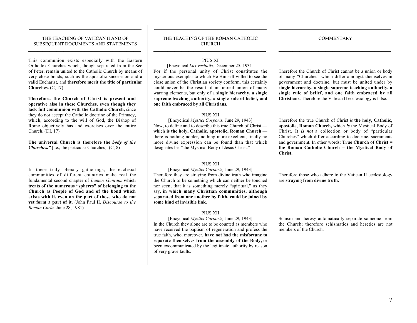\_\_\_\_\_\_\_\_\_\_\_\_\_\_\_\_\_\_\_\_\_\_\_\_\_\_\_\_\_\_\_\_\_\_\_\_\_\_\_\_\_\_\_\_\_\_\_\_

This communion exists especially with the Eastern Orthodox Churches which, though separated from the See of Peter, remain united to the Catholic Church by means of very close bonds, such as the apostolic succession and a valid Eucharist, and therefore merit the title of particular Churches. (C, 17)

Therefore, the Church of Christ is present and operative also in these Churches, even though they lack full communion with the Catholic Church, since they do not accept the Catholic doctrine of the Primacy, which, according to the will of God, the Bishop of Rome objectively has and exercises over the entire Church. (DI, 17)

The universal Church is therefore the *body of the Churches."* [i.e., the particular Churches]. (C, 8)

In these truly plenary gatherings, the ecclesial communities of different countries make real the fundamental second chapter of *Lumen Gentium* which treats of the numerous "spheres" of belonging to the Church as People of God and of the bond which exists with it, even on the part of those who do not yet form a part of it. (John Paul II, *Discourse to the Roman Curia,* June 28, 1981)

#### THE TEACHING OF THE ROMAN CATHOLIC CHURCH  $\overline{\phantom{a}}$  , and the contract of the contract of the contract of the contract of the contract of the contract of the contract of the contract of the contract of the contract of the contract of the contract of the contrac

 $\overline{\phantom{a}}$  , and the contract of the contract of the contract of the contract of the contract of the contract of the contract of the contract of the contract of the contract of the contract of the contract of the contrac

**COMMENTARY** 

 $\overline{\phantom{a}}$  , and the contract of the contract of the contract of the contract of the contract of the contract of the contract of the contract of the contract of the contract of the contract of the contract of the contrac

 $\overline{\phantom{a}}$  , and the contract of the contract of the contract of the contract of the contract of the contract of the contract of the contract of the contract of the contract of the contract of the contract of the contrac

#### PIUS XI

[Encyclical *Lux veritatis,* December 25, 1931] For if the personal unity of Christ constitutes the mysterious exemplar to which He Himself willed to see the close union of the Christian society conform, this certainly could never be the result of an unreal union of many warring elements, but only of a single hierarchy, a single supreme teaching authority, a single rule of belief, and one faith embraced by all Christians.

#### PIUS XII

[Encyclical *Mystici Corporis,* June 29, 1943] Now, to define and to describe this true Church of Christ which is the holy, Catholic, apostolic, Roman Church there is nothing nobler, nothing more excellent, finally no more divine expression can be found than that which designates her "the Mystical Body of Jesus Christ."

#### PIUS XII

[Encyclical *Mystici Corporis,* June 29, 1943] Therefore they are straying from divine truth who imagine the Church to be something which can neither be touched nor seen, that it is something merely "spiritual," as they say, in which many Christian communities, although separated from one another by faith, could be joined by some kind of invisible link.

#### PIUS XII

[Encyclical *Mystici Corporis,* June 29, 1943] In the Church they alone are to be counted as members who have received the baptism of regeneration and profess the true faith, who, moreover, have not had the misfortune to separate themselves from the assembly of the Body, or been excommunicated by the legitimate authority by reason of very grave faults.

Therefore the Church of Christ cannot be a union or body of many "Churches" which differ amongst themselves in government and doctrine, but must be united under by single hierarchy, a single supreme teaching authority, a single rule of belief, and one faith embraced by all Christians. Therefore the Vatican II ecclesiology is false.

Therefore the true Church of Christ *is* the holy, Catholic, apostolic, Roman Church, which *is* the Mystical Body of Christ. It *is not* a collection or body of "particular Churches" which differ according to doctrine, sacraments and government. In other words: True Church of Christ = the Roman Catholic Church = the Mystical Body of Christ.

Therefore those who adhere to the Vatican II ecclesiology are straying from divine truth.

Schism and heresy automatically separate someone from the Church; therefore schismatics and heretics are not members of the Church.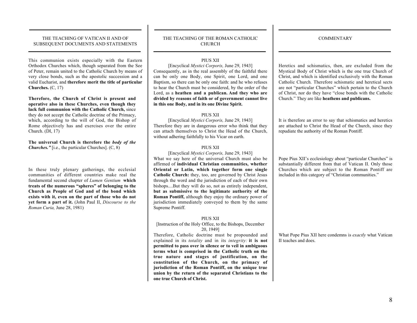\_\_\_\_\_\_\_\_\_\_\_\_\_\_\_\_\_\_\_\_\_\_\_\_\_\_\_\_\_\_\_\_\_\_\_\_\_\_\_\_\_\_\_\_\_\_\_\_

This communion exists especially with the Eastern Orthodox Churches which, though separated from the See of Peter, remain united to the Catholic Church by means of very close bonds, such as the apostolic succession and a valid Eucharist, and therefore merit the title of particular Churches. (C, 17)

Therefore, the Church of Christ is present and operative also in these Churches, even though they lack full communion with the Catholic Church, since they do not accept the Catholic doctrine of the Primacy, which, according to the will of God, the Bishop of Rome objectively has and exercises over the entire Church. (DI, 17)

The universal Church is therefore the *body of the Churches."* [i.e., the particular Churches]. (C, 8)

In these truly plenary gatherings, the ecclesial communities of different countries make real the fundamental second chapter of *Lumen Gentium* which treats of the numerous "spheres" of belonging to the Church as People of God and of the bond which exists with it, even on the part of those who do not yet form a part of it. (John Paul II, *Discourse to the Roman Curia,* June 28, 1981)

#### THE TEACHING OF THE ROMAN CATHOLIC CHURCH  $\overline{\phantom{a}}$  , and the contract of the contract of the contract of the contract of the contract of the contract of the contract of the contract of the contract of the contract of the contract of the contract of the contrac

 $\overline{\phantom{a}}$  , and the contract of the contract of the contract of the contract of the contract of the contract of the contract of the contract of the contract of the contract of the contract of the contract of the contrac

#### PIUS XII

[Encyclical *Mystici Corporis,* June 29, 1943] Consequently, as in the real assembly of the faithful there can be only one Body, one Spirit, one Lord, and one Baptism, so there can be only one faith: and he who refuses to hear the Church must be considered, by the order of the Lord, as a heathen and a publican. And they who are divided by reasons of faith or of government cannot live in this one Body, and in its one Divine Spirit.

#### PIUS XII

[Encyclical *Mystici Corporis,* June 29, 1943] Therefore they are in dangerous error who think that they can attach themselves to Christ the Head of the Church, without adhering faithfully to his Vicar on earth.

#### PIUS XII

[Encyclical *Mystici Corporis,* June 29, 1943] What we say here of the universal Church must also be affirmed of individual Christian communities, whether Oriental or Latin, which together form one single Catholic Church: they, too, are governed by Christ Jesus through the word and the jurisdiction of each of their own bishops....But they will do so, not as entirely independent, but as submissive to the legitimate authority of the Roman Pontiff, although they enjoy the ordinary power of jurisdiction immediately conveyed to them by the same Supreme Pontiff.

#### PIUS XII

[Instruction of the Holy Office, to the Bishops, December 20, 1949]

Therefore, Catholic doctrine must be propounded and explained in its *totality* and in its *integrity:* it is not permitted to pass over in silence or to veil in ambiguous terms what is comprised in the Catholic truth on the true nature and stages of justification, on the constitution of the Church, on the primacy of jurisdiction of the Roman Pontiff, on the unique true union by the return of the separated Christians to the one true Church of Christ.

Heretics and schismatics, then, are excluded from the Mystical Body of Christ which is the one true Church of Christ, and which is identified exclusively with the Roman Catholic Church. Therefore schismatic and heretical sects are not "particular Churches" which pertain to the Church of Christ, nor do they have "close bonds with the Catholic Church." They are like heathens and publicans.

It is therefore an error to say that schismatics and heretics are attached to Christ the Head of the Church, since they repudiate the authority of the Roman Pontiff.

Pope Pius XII's ecclesiology about "particular Churches" is substantially different from that of Vatican II. Only those Churches which are subject to the Roman Pontiff are included in this category of "Christian communities."

What Pope Pius XII here condemns is *exactly* what Vatican II teaches and does.

**COMMENTARY** 

 $\overline{\phantom{a}}$  , and the contract of the contract of the contract of the contract of the contract of the contract of the contract of the contract of the contract of the contract of the contract of the contract of the contrac

 $\overline{\phantom{a}}$  , and the contract of the contract of the contract of the contract of the contract of the contract of the contract of the contract of the contract of the contract of the contract of the contract of the contrac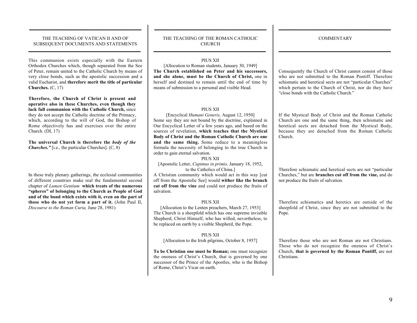\_\_\_\_\_\_\_\_\_\_\_\_\_\_\_\_\_\_\_\_\_\_\_\_\_\_\_\_\_\_\_\_\_\_\_\_\_\_\_\_\_\_\_\_\_\_\_\_

This communion exists especially with the Eastern Orthodox Churches which, though separated from the See of Peter, remain united to the Catholic Church by means of very close bonds, such as the apostolic succession and a valid Eucharist, and therefore merit the title of particular Churches. (C, 17)

Therefore, the Church of Christ is present and operative also in these Churches, even though they lack full communion with the Catholic Church, since they do not accept the Catholic doctrine of the Primacy, which, according to the will of God, the Bishop of Rome objectively has and exercises over the entire Church. (DI, 17)

The universal Church is therefore the *body of the Churches.*" [i.e., the particular Churches]. (C, 8)

In these truly plenary gatherings, the ecclesial communities of different countries make real the fundamental second chapter of *Lumen Gentium* which treats of the numerous "spheres" of belonging to the Church as People of God and of the bond which exists with it, even on the part of those who do not yet form a part of it. (John Paul II, *Discourse to the Roman Curia,* June 28, 1981)

#### THE TEACHING OF THE ROMAN CATHOLIC CHURCH  $\overline{\phantom{a}}$  , and the contract of the contract of the contract of the contract of the contract of the contract of the contract of the contract of the contract of the contract of the contract of the contract of the contrac

 $\overline{\phantom{a}}$  , and the contract of the contract of the contract of the contract of the contract of the contract of the contract of the contract of the contract of the contract of the contract of the contract of the contrac

#### PIUS XII

[Allocution to Roman students, January 30, 1949] The Church established on Peter and his successors, and she alone, must be the Church of Christ, one in herself and destined to remain until the end of time by means of submission to a personal and visible Head.

#### PIUS XII

[Encyclical *Humani Generis,* August 12, 1950] Some say they are not bound by the doctrine, explained in Our Encyclical Letter of a few years ago, and based on the sources of revelation, which teaches that the Mystical Body of Christ and the Roman Catholic Church are one and the same thing. Some reduce to a meaningless formula the necessity of belonging to the true Church in order to gain eternal salvation.

#### PIUS XII

[Apostolic Letter, *Cupimus in primis,* January 18, 1952, to the Catholics of China.]

A Christian community which would act in this way [cut off from the Apostolic See] would wither like the branch cut off from the vine and could not produce the fruits of salvation.

#### PIUS XII

[Allocution to the Lenten preachers, March 27, 1953] The Church is a sheepfold which has one supreme invisible Shepherd, Christ Himself, who has willed, nevertheless, to be replaced on earth by a visible Shepherd, the Pope.

PIUS XII [Allocution to the Irish pilgrims, October 8, 1957]

To be Christian one must be Roman; one must recognize the oneness of Christ's Church, that is governed by one successor of the Prince of the Apostles, who is the Bishop of Rome, Christ's Vicar on earth.

Consequently the Church of Christ cannot consist of those who are not submitted to the Roman Pontiff. Therefore schismatic and heretical sects are not "particular Churches" which pertain to the Church of Christ, nor do they have "close bonds with the Catholic Church."

If the Mystical Body of Christ and the Roman Catholic Church are one and the same thing, then schismatic and heretical sects are detached from the Mystical Body, because they are detached from the Roman Catholic Church.

Therefore schismatic and heretical sects are not "particular Churches," but are branches cut off from the vine, and do not produce the fruits of salvation.

Therefore schismatics and heretics are outside of the sheepfold of Christ, since they are not submitted to the Pope.

Therefore those who are not Roman are not Christians. Those who do not recognize the oneness of Christ's Church, that is governed by the Roman Pontiff, are not Christians.

 $\overline{\phantom{a}}$  , and the contract of the contract of the contract of the contract of the contract of the contract of the contract of the contract of the contract of the contract of the contract of the contract of the contrac

 $\overline{\phantom{a}}$  , and the contract of the contract of the contract of the contract of the contract of the contract of the contract of the contract of the contract of the contract of the contract of the contract of the contrac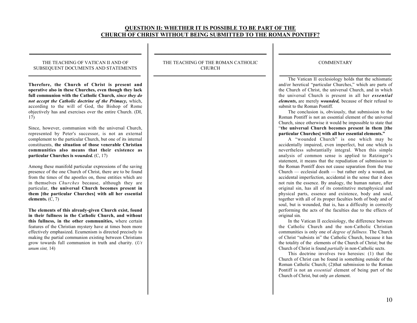# QUESTION II: WHETHER IT IS POSSIBLE TO BE PART OF THE CHURCH OF CHRIST WITHOUT BEING SUBMITTED TO THE ROMAN PONTIFF?

#### THE TEACHING OF VATICAN II AND OF SUBSEQUENT DOCUMENTS AND STATEMENTS  $\overline{\phantom{a}}$  , and the contract of the contract of the contract of the contract of the contract of the contract of the contract of the contract of the contract of the contract of the contract of the contract of the contrac

\_\_\_\_\_\_\_\_\_\_\_\_\_\_\_\_\_\_\_\_\_\_\_\_\_\_\_\_\_\_\_\_\_\_\_\_\_\_\_\_\_\_\_\_\_\_\_\_

Therefore, the Church of Christ is present and operative also in these Churches, even though they lack full communion with the Catholic Church, *since they do not accept the Catholic doctrine of the Primacy,* which, according to the will of God, the Bishop of Rome objectively has and exercises over the entire Church. (DI, 17)

Since, however, communion with the universal Church, represented by Peter's successor, is not an external complement to the particular Church, but one of its internal constituents, the situation of those venerable Christian communities also means that their existence as particular Churches is *wounded.* (C, 17)

Among these manifold particular expressions of the saving presence of the one Church of Christ, there are to be found from the times of the apostles on, those entities which are in themselves *Churches* because, although they are particular, the universal Church becomes present in them [the particular Churches] with all her essential elements. (C, 7)

The elements of this already-given Church exist, found in their fullness in the Catholic Church, and without this fullness, in the other communities, where certain features of the Christian mystery have at times been more effectively emphasized. Ecumenism is directed precisely to making the partial communion existing between Christians grow towards full communion in truth and charity. (*Ut unum sint,* 14)

THE TEACHING OF THE ROMAN CATHOLIC CHURCH  $\overline{\phantom{a}}$  , and the contract of the contract of the contract of the contract of the contract of the contract of the contract of the contract of the contract of the contract of the contract of the contract of the contrac

 $\overline{\phantom{a}}$  , and the contract of the contract of the contract of the contract of the contract of the contract of the contract of the contract of the contract of the contract of the contract of the contract of the contrac

 $\overline{\phantom{a}}$  , and the contract of the contract of the contract of the contract of the contract of the contract of the contract of the contract of the contract of the contract of the contract of the contract of the contrac COMMENTARY

 $\overline{\phantom{a}}$  , and the contract of the contract of the contract of the contract of the contract of the contract of the contract of the contract of the contract of the contract of the contract of the contract of the contrac

The Vatican II ecclesiology holds that the schismatic and/or heretical "particular Churches," which are parts of the Church of Christ, the universal Church, and in which the universal Church is present in all her *essential elements,* are merely *wounded,* because of their refusal to submit to the Roman Pontiff.

The conclusion is, obviously, that submission to the Roman Pontiff is not an essential element of the universal Church, since otherwise it would be impossible to state that "the universal Church becomes present in them [the particular Churches] with all her essential elements."

A "wounded Church" is one which may be accidentally impaired, even imperfect, but one which is nevertheless substantially integral. When this simple analysis of common sense is applied to Ratzinger's statement, it means that the repudiation of submission to the Roman Pontiff does not cause separation from the true Church — ecclesial death — but rather only a wound, an accidental imperfection, accidental in the sense that it does not ruin the essence. By analogy, the human nature, after original sin, has all of its constitutive metaphysical and physical parts, essence and existence, body and soul, together with all of its proper faculties both of body and of soul, but is wounded, that is, has a difficulty in correctly performing the acts of the faculties due to the effects of original sin.

In the Vatican II ecclesiology, the difference between the Catholic Church and the non-Catholic Christian communities is only one of *degree of fullness.* The Church of Christ "subsists in" the Catholic Church, because it has the totality of the elements of the Church of Christ; but the Church of Christ is found *partially* in non-Catholic sects.

This doctrine involves two heresies: (1) that the Church of Christ can be found in something outside of the Roman Catholic Church; (2)that submission to the Roman Pontiff is not an *essential* element of being part of the Church of Christ, but only *an* element.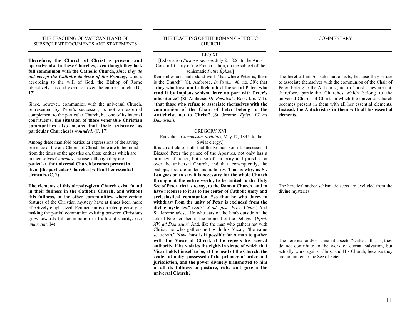\_\_\_\_\_\_\_\_\_\_\_\_\_\_\_\_\_\_\_\_\_\_\_\_\_\_\_\_\_\_\_\_\_\_\_\_\_\_\_\_\_\_\_\_\_\_\_\_

Therefore, the Church of Christ is present and operative also in these Churches, even though they lack full communion with the Catholic Church, *since they do not accept the Catholic doctrine of the Primacy,* which, according to the will of God, the Bishop of Rome objectively has and exercises over the entire Church. (DI, 17)

Since, however, communion with the universal Church, represented by Peter's successor, is not an external complement to the particular Church, but one of its internal constituents, the situation of those venerable Christian communities also means that their existence as particular Churches is *wounded.* (C, 17)

Among these manifold particular expressions of the saving presence of the one Church of Christ, there are to be found from the times of the apostles on, those entities which are in themselves *Churches* because, although they are particular, the universal Church becomes present in them [the particular Churches] with all her essential elements.  $(C, 7)$ 

The elements of this already-given Church exist, found in their fullness in the Catholic Church, and without this fullness, in the other communities, where certain features of the Christian mystery have at times been more effectively emphasized. Ecumenism is directed precisely to making the partial communion existing between Christians grow towards full communion in truth and charity. (*Ut unum sint,* 14)

#### THE TEACHING OF THE ROMAN CATHOLIC CHURCH

 $\overline{\phantom{a}}$  , and the contract of the contract of the contract of the contract of the contract of the contract of the contract of the contract of the contract of the contract of the contract of the contract of the contrac

 $\overline{\phantom{a}}$  , and the contract of the contract of the contract of the contract of the contract of the contract of the contract of the contract of the contract of the contract of the contract of the contract of the contrac LEO XII

[Exhortation *Pastoris aeterni,* July 2, 1826, to the Anti-Concordat party of the French nation, on the subject of the schismatic *Petite Église.*]

Remember and understand well "that where Peter is, there is the Church" (St. Ambrose, *In Psalm. 40,* no. 30); that "they who have not in their midst the see of Peter, who rend it by impious schism, have no part with Peter's inheritance" (St. Ambrose, *De Pœnitent.,* Book I, c. VII); "that those who refuse to associate themselves with the communion of the Chair of Peter belong to the Antichrist, not to Christ" (St. Jerome, *Epist. XV ad Damasum*).

#### GREGORY XVI

[Encyclical *Commissum divinitus,* May 17, 1835, to the Swiss clergy.]

It is an article of faith that the Roman Pontiff, successor of Blessed Peter the prince of the Apostles, not only has a primacy of honor, but also of authority and jurisdiction over the universal Church, and that, consequently, the bishops, too, are under his authority. That is why, as St. Leo goes on to say, it is necessary for the whole Church throughout the entire world, to be united to the Holy See of Peter, that is to say, to the Roman Church, and to have recourse to it as to the center of Catholic unity and ecclesiastical communion, "so that he who dares to withdraw from the unity of Peter is excluded from the divine mysteries." (*Epist. X ad episc. Prov. Vienn.*) And St. Jerome adds, "He who eats of the lamb outside of the ark of Noe perished in the moment of the Deluge." (*Epist. XV, ad Damasum*) And, like the man who gathers not with Christ, he who gathers not with his Vicar, "the same scattereth." Now, how is it possible for a man to gather with the Vicar of Christ, if he rejects his sacred authority, if he violates the rights in virtue of which that Vicar holds himself to be, at the head of the Church, the center of unity, possessed of the primacy of order and jurisdiction, and the power divinely transmitted to him in all its fullness to pasture, rule, and govern the universal Church?

**COMMENTARY** 

 $\overline{\phantom{a}}$  , and the contract of the contract of the contract of the contract of the contract of the contract of the contract of the contract of the contract of the contract of the contract of the contract of the contrac

 $\overline{\phantom{a}}$  , and the contract of the contract of the contract of the contract of the contract of the contract of the contract of the contract of the contract of the contract of the contract of the contract of the contrac

The heretical and/or schismatic sects, because they refuse to associate themselves with the communion of the Chair of Peter, belong to the Antichrist, not to Christ. They are not, therefore, particular Churches which belong to the universal Church of Christ, in which the universal Church becomes present in them with all her essential elements. Instead, the Antichrist is in them with all his essential elements.

The heretical and/or schismatic sects are excluded from the divine mysteries.

The heretical and/or schismatic sects "scatter," that is, they do not contribute to the work of eternal salvation, but actually work against Christ and His Church, because they are not united to the See of Peter.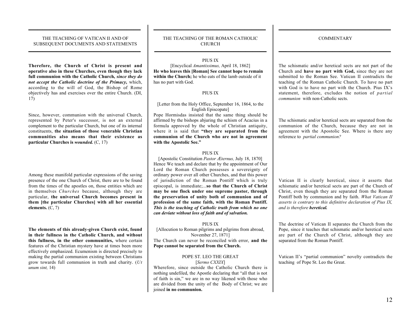$\overline{\phantom{a}}$  , and the contract of the contract of the contract of the contract of the contract of the contract of the contract of the contract of the contract of the contract of the contract of the contract of the contrac

Therefore, the Church of Christ is present and operative also in these Churches, even though they lack full communion with the Catholic Church, *since they do not accept the Catholic doctrine of the Primacy,* which, according to the will of God, the Bishop of Rome objectively has and exercises over the entire Church. (DI, 17)

Since, however, communion with the universal Church, represented by Peter's successor, is not an external complement to the particular Church, but one of its internal constituents, the situation of those venerable Christian communities also means that their existence as particular Churches is *wounded.* (C, 17)

Among these manifold particular expressions of the saving presence of the one Church of Christ, there are to be found from the times of the apostles on, those entities which are in themselves *Churches* because, although they are particular, the universal Church becomes present in them [the particular Churches] with all her essential elements.  $(C, 7)$ 

The elements of this already-given Church exist, found in their fullness in the Catholic Church, and without this fullness, in the other communities, where certain features of the Christian mystery have at times been more effectively emphasized. Ecumenism is directed precisely to making the partial communion existing between Christians grow towards full communion in truth and charity. (*Ut unum sint,* 14)

#### THE TEACHING OF THE ROMAN CATHOLIC CHURCH  $\overline{\phantom{a}}$  , and the contract of the contract of the contract of the contract of the contract of the contract of the contract of the contract of the contract of the contract of the contract of the contract of the contrac

 $\overline{\phantom{a}}$  , and the contract of the contract of the contract of the contract of the contract of the contract of the contract of the contract of the contract of the contract of the contract of the contract of the contrac

#### PIUS IX

[Encyclical *Amantissimus,* April 18, 1862] He who leaves this [Roman] See cannot hope to remain within the Church; he who eats of the lamb outside of it has no part with God.

#### PIUS IX

#### [Letter from the Holy Office, September 16, 1864, to the English Episcopate]

Pope Hormisdas insisted that the same thing should be affirmed by the bishops abjuring the schism of Acacius in a formula approved by the whole of Christian antiquity, where it is said that "they are separated from the communion of the Church who are not in agreement with the Apostolic See."

#### PIUS IX

[Apostolic Constitution *Pastor Æternus,* July 18, 1870] Hence We teach and declare that by the appointment of Our Lord the Roman Church possesses a sovereignty of ordinary power over all other Churches, and that this power of jurisdiction of the Roman Pontiff which is truly episcopal, is immediate;...so that the Church of Christ may be one flock under one supreme pastor, through the preservation of unity both of communion and of profession of the same faith, with the Roman Pontiff. *This is the teaching of Catholic truth from which no one can deviate without loss of faith and of salvation.*

#### PIUS IX

[Allocution to Roman pilgrims and pilgrims from abroad, November 27, 1871] The Church can never be reconciled with error, and the Pope cannot be separated from the Church.

#### POPE ST. LEO THE GREAT [*Sermo CXXIX*]

Wherefore, since outside the Catholic Church there is nothing undefiled, the Apostle declaring that "all that is not of faith is sin," we are in no way likened with those who are divided from the unity of the Body of Christ; we are joined in no communion.

**COMMENTARY** 

 $\overline{\phantom{a}}$  , and the contract of the contract of the contract of the contract of the contract of the contract of the contract of the contract of the contract of the contract of the contract of the contract of the contrac

 $\overline{\phantom{a}}$  , and the contract of the contract of the contract of the contract of the contract of the contract of the contract of the contract of the contract of the contract of the contract of the contract of the contrac

The schismatic and/or heretical sects are not part of the Church and have no part with God, since they are not submitted to the Roman See. Vatican II contradicts the teaching of the Roman Catholic Church. To have no part with God is to have no part with the Church. Pius IX's statement, therefore, excludes the notion of *partial communion* with non-Catholic sects.

The schismatic and/or heretical sects are separated from the communion of the Church, because they are not in agreement with the Apostolic See. Where is there any reference to *partial communion?*

Vatican II is clearly heretical, since it asserts that schismatic and/or heretical sects are part of the Church of Christ, even though they are separated from the Roman Pontiff both by communion and by faith. *What Vatican II asserts is contrary to this definitive declaration of Pius IX, and is therefore heretical.*

The doctrine of Vatican II separates the Church from the Pope, since it teaches that schismatic and/or heretical sects are part of the Church of Christ, although they are separated from the Roman Pontiff.

Vatican II's "partial communion" novelty contradicts the teaching of Pope St. Leo the Great.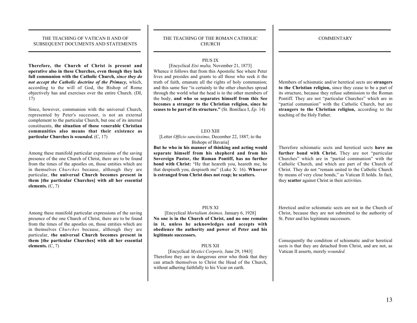$\overline{\phantom{a}}$  , and the contract of the contract of the contract of the contract of the contract of the contract of the contract of the contract of the contract of the contract of the contract of the contract of the contrac

Therefore, the Church of Christ is present and operative also in these Churches, even though they lack full communion with the Catholic Church, *since they do not accept the Catholic doctrine of the Primacy,* which, according to the will of God, the Bishop of Rome objectively has and exercises over the entire Church. (DI, 17)

Since, however, communion with the universal Church, represented by Peter's successor, is not an external complement to the particular Church, but one of its internal constituents, the situation of those venerable Christian communities also means that their existence as particular Churches is *wounded.* (C, 17)

Among these manifold particular expressions of the saving presence of the one Church of Christ, there are to be found from the times of the apostles on, those entities which are in themselves *Churches* because, although they are particular, the universal Church becomes present in them [the particular Churches] with all her essential elements.  $(C, 7)$ 

Among these manifold particular expressions of the saving presence of the one Church of Christ, there are to be found from the times of the apostles on, those entities which are in themselves *Churches* because, although they are particular, the universal Church becomes present in them [the particular Churches] with all her essential elements. (C, 7)

#### THE TEACHING OF THE ROMAN CATHOLIC CHURCH  $\overline{\phantom{a}}$  , and the contract of the contract of the contract of the contract of the contract of the contract of the contract of the contract of the contract of the contract of the contract of the contract of the contrac

 $\overline{\phantom{a}}$  , and the contract of the contract of the contract of the contract of the contract of the contract of the contract of the contract of the contract of the contract of the contract of the contract of the contrac

PIUS IX

[Encyclical *Etsi multa,* November 21, 1873] Whence it follows that from this Apostolic See where Peter lives and presides and grants to all those who seek it the truth of faith, emanate all the rights of holy communion; and this same See "is certainly to the other churches spread through the world what the head is to the other members of the body, and who so separates himself from this See becomes a stranger to the Christian religion, since he ceases to be part of its structure." (St. Boniface I, *Ep.* 14)

#### LEO XIII

[Letter *Officio sanctissimo,* December 22, 1887, to the Bishops of Bavaria]

But he who in his manner of thinking and acting would separate himself from his shepherd and from his Sovereign Pastor, the Roman Pontiff, has no further bond with Christ: "He that heareth you, heareth me, he that despiseth you, despiseth me" (Luke X: 16). Whoever is estranged from Christ does not reap; he scatters.

#### PIUS XI

[Encyclical *Mortalium Animos,* January 6, 1928] No one is in the Church of Christ, and no one remains in it, unless he acknowledges and accepts with obedience the authority and power of Peter and his legitimate successors.

#### PIUS XII

[Encyclical *Mystici Corporis,* June 29, 1943] Therefore they are in dangerous error who think that they can attach themselves to Christ the Head of the Church, without adhering faithfully to his Vicar on earth.

**COMMENTARY** 

 $\overline{\phantom{a}}$  , and the contract of the contract of the contract of the contract of the contract of the contract of the contract of the contract of the contract of the contract of the contract of the contract of the contrac

 $\overline{\phantom{a}}$  , and the contract of the contract of the contract of the contract of the contract of the contract of the contract of the contract of the contract of the contract of the contract of the contract of the contrac

Members of schismatic and/or heretical sects are strangers to the Christian religion, since they cease to be a part of its structure, because they refuse submission to the Roman Pontiff. They are not "particular Churches" which are in "partial communion" with the Catholic Church, but are strangers to the Christian religion, according to the teaching of the Holy Father.

Therefore schismatic sects and heretical sects have no further bond with Christ. They are not "particular Churches" which are in "partial communion" with the Catholic Church, and which are part of the Church of Christ. They do not "remain united to the Catholic Church by means of very close bonds," as Vatican II holds. In fact, they scatter against Christ in their activities.

Heretical and/or schismatic sects are not in the Church of Christ, because they are not submitted to the authority of St. Peter and his legitimate successors.

Consequently the condition of schismatic and/or heretical sects is that they are detached from Christ, and are not, as Vatican II asserts, merely *wounded.*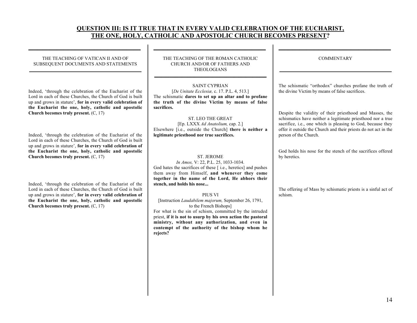# QUESTION III: IS IT TRUE THAT IN EVERY VALID CELEBRATION OF THE EUCHARIST, THE ONE, HOLY, CATHOLIC AND APOSTOLIC CHURCH BECOMES PRESENT?

 $\overline{\phantom{a}}$  , and the contract of the contract of the contract of the contract of the contract of the contract of the contract of the contract of the contract of the contract of the contract of the contract of the contrac

#### THE TEACHING OF VATICAN II AND OF SUBSEQUENT DOCUMENTS AND STATEMENTS \_\_\_\_\_\_\_\_\_\_\_\_\_\_\_\_\_\_\_\_\_\_\_\_\_\_\_\_\_\_\_\_\_\_\_\_\_\_\_\_\_\_\_\_\_\_\_\_

 $\overline{\phantom{a}}$  , and the contract of the contract of the contract of the contract of the contract of the contract of the contract of the contract of the contract of the contract of the contract of the contract of the contrac

Indeed, 'through the celebration of the Eucharist of the Lord in each of these Churches, the Church of God is built up and grows in stature', for in every valid celebration of the Eucharist the one, holy, catholic and apostolic Church becomes truly present. (C, 17)

Indeed, 'through the celebration of the Eucharist of the Lord in each of these Churches, the Church of God is built up and grows in stature', for in every valid celebration of the Eucharist the one, holy, catholic and apostolic Church becomes truly present. (C, 17)

Indeed, 'through the celebration of the Eucharist of the Lord in each of these Churches, the Church of God is built up and grows in stature', for in every valid celebration of the Eucharist the one, holy, catholic and apostolic Church becomes truly present. (C, 17)

THE TEACHING OF THE ROMAN CATHOLIC CHURCH AND/OR OF FATHERS AND THEOLOGIANS

 $\frac{1}{2}$  ,  $\frac{1}{2}$  ,  $\frac{1}{2}$  ,  $\frac{1}{2}$  ,  $\frac{1}{2}$  ,  $\frac{1}{2}$  ,  $\frac{1}{2}$  ,  $\frac{1}{2}$  ,  $\frac{1}{2}$  ,  $\frac{1}{2}$  ,  $\frac{1}{2}$  ,  $\frac{1}{2}$  ,  $\frac{1}{2}$  ,  $\frac{1}{2}$  ,  $\frac{1}{2}$  ,  $\frac{1}{2}$  ,  $\frac{1}{2}$  ,  $\frac{1}{2}$  ,  $\frac{1$ 

#### SAINT CYPRIAN

[*De Unitate Ecclesiæ,* c. 17. P.L. 4, 513.] The schismatic dares to set up an altar and to profane the truth of the divine Victim by means of false sacrifices.

#### ST. LEO THE GREAT [Ep. LXXX *Ad Anatolium,* cap. 2.] Elsewhere [i.e., outside the Church] there is neither a legitimate priesthood nor true sacrifices.

### ST. JEROME

*In Amos,* V: 22, P.L. 25, 1033-1034. God hates the sacrifices of these [ i.e., heretics] and pushes them away from Himself, and whenever they come together in the name of the Lord, He abhors their stench, and holds his nose...

#### PIUS VI

[Instruction *Laudabilem majorum,* September 26, 1791, to the French Bishops] For what is the sin of schism, committed by the intruded priest, if it is not to usurp by his own action the pastoral

ministry, without any authorization, and even in contempt of the authority of the bishop whom he rejects?

| <b>COMMENTARY</b> |  |
|-------------------|--|

 $\frac{1}{2}$  ,  $\frac{1}{2}$  ,  $\frac{1}{2}$  ,  $\frac{1}{2}$  ,  $\frac{1}{2}$  ,  $\frac{1}{2}$  ,  $\frac{1}{2}$  ,  $\frac{1}{2}$  ,  $\frac{1}{2}$  ,  $\frac{1}{2}$  ,  $\frac{1}{2}$  ,  $\frac{1}{2}$  ,  $\frac{1}{2}$  ,  $\frac{1}{2}$  ,  $\frac{1}{2}$  ,  $\frac{1}{2}$  ,  $\frac{1}{2}$  ,  $\frac{1}{2}$  ,  $\frac{1$ 

The schismatic "orthodox" churches profane the truth of the divine Victim by means of false sacrifices.

Despite the validity of their priesthood and Masses, the schismatics have neither a legitimate priesthood nor a true sacrifice, i.e., one which is pleasing to God, because they offer it outside the Church and their priests do not act in the person of the Church.

God holds his nose for the stench of the sacrifices offered by heretics.

The offering of Mass by schismatic priests is a sinful act of schism.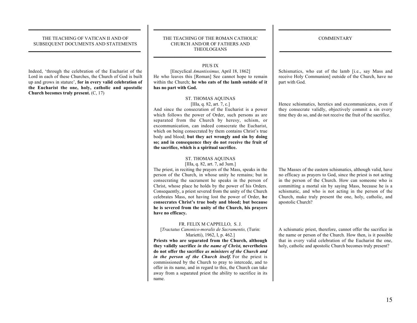$\overline{\phantom{a}}$  , and the contract of the contract of the contract of the contract of the contract of the contract of the contract of the contract of the contract of the contract of the contract of the contract of the contrac

Indeed, 'through the celebration of the Eucharist of the Lord in each of these Churches, the Church of God is built up and grows in stature', for in every valid celebration of the Eucharist the one, holy, catholic and apostolic Church becomes truly present. (C, 17)

#### THE TEACHING OF THE ROMAN CATHOLIC CHURCH AND/OR OF FATHERS AND THEOLOGIANS

 $\overline{\phantom{a}}$  , and the contract of the contract of the contract of the contract of the contract of the contract of the contract of the contract of the contract of the contract of the contract of the contract of the contrac

#### PIUS IX

\_\_\_\_\_\_\_\_\_\_\_\_\_\_\_\_\_\_\_\_\_\_\_\_\_\_\_\_\_\_\_\_\_\_\_\_\_\_\_\_\_\_\_\_\_\_\_\_

[Encyclical *Amantissimus,* April 18, 1862] He who leaves this [Roman] See cannot hope to remain within the Church; he who eats of the lamb outside of it has no part with God.

# ST. THOMAS AQUINAS

[IIIa, q. 82, art. 7, c.]

And since the consecration of the Eucharist is a power which follows the power of Order, such persons as are separated from the Church by heresy, schism, or excommunication, can indeed consecrate the Eucharist, which on being consecrated by them contains Christ's true body and blood; but they act wrongly and sin by doing so; and in consequence they do not receive the fruit of the sacrifice, which is a spiritual sacrifice.

#### ST. THOMAS AQUINAS

[IIIa, q. 82, art. 7, ad 3um.] The priest, in reciting the prayers of the Mass, speaks in the person of the Church, in whose unity he remains; but in consecrating the sacrament he speaks in the person of Christ, whose place he holds by the power of his Orders. Consequently, a priest severed from the unity of the Church celebrates Mass, not having lost the power of Order, he consecrates Christ's true body and blood; but because he is severed from the unity of the Church, his prayers have no efficacy.

#### FR. FELIX M CAPPELLO, S. J.

[*Tractatus Canonico-moralis de Sacramentis,* (Turin: Marietti), 1962, I, p. 462.]

Priests who are separated from the Church, although they validly sacrifice *in the name of Christ,* nevertheless do not offer the sacrifice *as ministers of the Church and in the person of the Church itself.* For the priest is commissioned by the Church to pray to intercede, and to offer in its name, and in regard to this, the Church can take away from a separated priest the ability to sacrifice in its name.

**COMMENTARY** 

 $\overline{\phantom{a}}$  , and the contract of the contract of the contract of the contract of the contract of the contract of the contract of the contract of the contract of the contract of the contract of the contract of the contrac

 $\overline{\phantom{a}}$  , and the contract of the contract of the contract of the contract of the contract of the contract of the contract of the contract of the contract of the contract of the contract of the contract of the contrac

Schismatics, who eat of the lamb [i.e., say Mass and receive Holy Communion] outside of the Church, have no part with God.

Hence schismatics, heretics and excommunicates, even if they consecrate validly, objectively commit a sin every time they do so, and do not receive the fruit of the sacrifice.

The Masses of the eastern schismatics, although valid, have no efficacy as prayers to God, since the priest is not acting in the person of the Church. How can someone who is committing a mortal sin by saying Mass, because he is a schismatic, and who is not acting in the person of the Church, make truly present the one, holy, catholic, and apostolic Church?

A schismatic priest, therefore, cannot offer the sacrifice in the name or person of the Church. How then, is it possible that in every valid celebration of the Eucharist the one, holy, catholic and apostolic Church becomes truly present?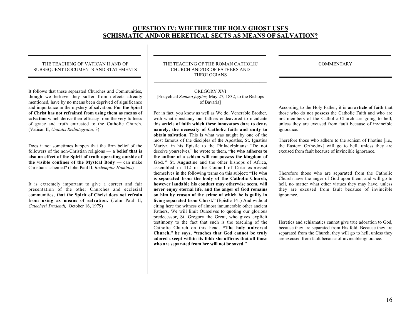# QUESTION IV: WHETHER THE HOLY GHOST USES SCHISMATIC AND/OR HERETICAL SECTS AS MEANS OF SALVATION?

#### THE TEACHING OF VATICAN II AND OF SUBSEQUENT DOCUMENTS AND STATEMENTS  $\frac{1}{2}$  ,  $\frac{1}{2}$  ,  $\frac{1}{2}$  ,  $\frac{1}{2}$  ,  $\frac{1}{2}$  ,  $\frac{1}{2}$  ,  $\frac{1}{2}$  ,  $\frac{1}{2}$  ,  $\frac{1}{2}$  ,  $\frac{1}{2}$  ,  $\frac{1}{2}$  ,  $\frac{1}{2}$  ,  $\frac{1}{2}$  ,  $\frac{1}{2}$  ,  $\frac{1}{2}$  ,  $\frac{1}{2}$  ,  $\frac{1}{2}$  ,  $\frac{1}{2}$  ,  $\frac{1$

 $\frac{1}{2}$  ,  $\frac{1}{2}$  ,  $\frac{1}{2}$  ,  $\frac{1}{2}$  ,  $\frac{1}{2}$  ,  $\frac{1}{2}$  ,  $\frac{1}{2}$  ,  $\frac{1}{2}$  ,  $\frac{1}{2}$  ,  $\frac{1}{2}$  ,  $\frac{1}{2}$  ,  $\frac{1}{2}$  ,  $\frac{1}{2}$  ,  $\frac{1}{2}$  ,  $\frac{1}{2}$  ,  $\frac{1}{2}$  ,  $\frac{1}{2}$  ,  $\frac{1}{2}$  ,  $\frac{1$ 

It follows that these separated Churches and Communities, though we believe they suffer from defects already mentioned, have by no means been deprived of significance and importance in the mystery of salvation. For the Spirit of Christ has not refrained from using them as means of salvation which derive their efficacy from the very fullness of grace and truth entrusted to the Catholic Church. (Vatican II, *Unitatis Redintegratio,* 3)

Does it not sometimes happen that the firm belief of the followers of the non-Christian religions — a belief that is also an effect of the Spirit of truth operating outside of the visible confines of the Mystcal Body  $\frac{1}{x}$  can make Christians ashemed? (John Paul II, *Redemptor Hominis*)

It is extremely important to give a correct and fair presentation of the other Churches and ecclesial communities, that the Spirit of Christ does not refrain from using as means of salvation. (John Paul II, *Catechesi Tradendi,* October 16, 1979)

THE TEACHING OF THE ROMAN CATHOLIC CHURCH AND/OR OF FATHERS AND THEOLOGIANS

 $\overline{\phantom{a}}$  , and the contract of the contract of the contract of the contract of the contract of the contract of the contract of the contract of the contract of the contract of the contract of the contract of the contrac

 $\frac{1}{2}$  ,  $\frac{1}{2}$  ,  $\frac{1}{2}$  ,  $\frac{1}{2}$  ,  $\frac{1}{2}$  ,  $\frac{1}{2}$  ,  $\frac{1}{2}$  ,  $\frac{1}{2}$  ,  $\frac{1}{2}$  ,  $\frac{1}{2}$  ,  $\frac{1}{2}$  ,  $\frac{1}{2}$  ,  $\frac{1}{2}$  ,  $\frac{1}{2}$  ,  $\frac{1}{2}$  ,  $\frac{1}{2}$  ,  $\frac{1}{2}$  ,  $\frac{1}{2}$  ,  $\frac{1$ 

#### GREGORY XVI [Encyclical *Summo jugiter,* May 27, 1832, to the Bishops of Bavaria]

For in fact, you know as well as We do, Venerable Brother, with what constancy our fathers endeavored to inculcate this article of faith which these innovators dare to deny, namely, the necessity of Catholic faith and unity to obtain salvation. This is what was taught by one of the most famous of the disciples of the Apostles, St. Ignatius Martyr, in his Epistle to the Philadelphians: "Do not deceive yourselves," he wrote to them, "he who adheres to the author of a schism will not possess the kingdom of God." St. Augustine and the other bishops of Africa, assembled in 412 in the Council of Cirta expressed themselves in the following terms on this subject: "He who is separated from the body of the Catholic Church, however laudable his conduct may otherwise seem, will never enjoy eternal life, and the anger of God remains on him by reason of the crime of which he is guilty in living separated from Christ." (Epistle 141) And without citing here the witness of almost innumerable other ancient Fathers, We will limit Ourselves to quoting our glorious predecessor, St. Gregory the Great, who gives explicit testimony to the fact that such is the teaching of the Catholic Church on this head. "The holy universal Church," he says, "teaches that God cannot be truly adored except within its fold: she affirms that all those who are separated from her will not be saved."

 $\frac{1}{2}$  ,  $\frac{1}{2}$  ,  $\frac{1}{2}$  ,  $\frac{1}{2}$  ,  $\frac{1}{2}$  ,  $\frac{1}{2}$  ,  $\frac{1}{2}$  ,  $\frac{1}{2}$  ,  $\frac{1}{2}$  ,  $\frac{1}{2}$  ,  $\frac{1}{2}$  ,  $\frac{1}{2}$  ,  $\frac{1}{2}$  ,  $\frac{1}{2}$  ,  $\frac{1}{2}$  ,  $\frac{1}{2}$  ,  $\frac{1}{2}$  ,  $\frac{1}{2}$  ,  $\frac{1$ **COMMENTARY** 

 $\frac{1}{2}$  ,  $\frac{1}{2}$  ,  $\frac{1}{2}$  ,  $\frac{1}{2}$  ,  $\frac{1}{2}$  ,  $\frac{1}{2}$  ,  $\frac{1}{2}$  ,  $\frac{1}{2}$  ,  $\frac{1}{2}$  ,  $\frac{1}{2}$  ,  $\frac{1}{2}$  ,  $\frac{1}{2}$  ,  $\frac{1}{2}$  ,  $\frac{1}{2}$  ,  $\frac{1}{2}$  ,  $\frac{1}{2}$  ,  $\frac{1}{2}$  ,  $\frac{1}{2}$  ,  $\frac{1$ 

According to the Holy Father, it is an article of faith that those who do not possess the Catholic Faith and who are not members of the Catholic Church are going to hell, unless they are excused from fault because of invincible ignorance.

Therefore those who adhere to the schism of Photius [i.e., the Eastern Orthodox] will go to hell, unless they are excused from fault because of invincible ignorance.

Therefore those who are separated from the Catholic Church have the anger of God upon them, and will go to hell, no matter what other virtues they may have, unless they are excused from fault because of invincible ignorance.

Heretics and schismatics cannot give true adoration to God, because they are separated from His fold. Because they are separated from the Church, they will go to hell, unless they are excused from fault because of invincible ignorance.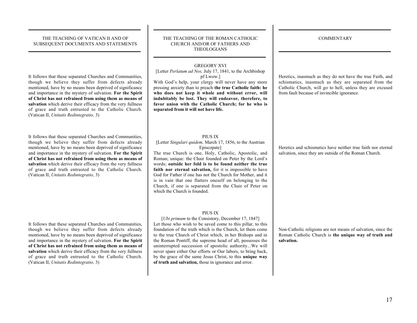$\overline{\phantom{a}}$  , and the contract of the contract of the contract of the contract of the contract of the contract of the contract of the contract of the contract of the contract of the contract of the contract of the contrac

It follows that these separated Churches and Communities, though we believe they suffer from defects already mentioned, have by no means been deprived of significance and importance in the mystery of salvation. For the Spirit of Christ has not refrained from using them as means of salvation which derive their efficacy from the very fullness of grace and truth entrusted to the Catholic Church. (Vatican II, *Unitatis Redintegratio,* 3)

It follows that these separated Churches and Communities, though we believe they suffer from defects already mentioned, have by no means been deprived of significance and importance in the mystery of salvation. For the Spirit of Christ has not refrained from using them as means of salvation which derive their efficacy from the very fullness of grace and truth entrusted to the Catholic Church. (Vatican II, *Unitatis Redintegratio,* 3)

It follows that these separated Churches and Communities, though we believe they suffer from defects already mentioned, have by no means been deprived of significance and importance in the mystery of salvation. For the Spirit of Christ has not refrained from using them as means of salvation which derive their efficacy from the very fullness of grace and truth entrusted to the Catholic Church. (Vatican II, *Unitatis Redintegratio,* 3)

#### THE TEACHING OF THE ROMAN CATHOLIC CHURCH AND/OR OF FATHERS AND THEOLOGIANS

\_\_\_\_\_\_\_\_\_\_\_\_\_\_\_\_\_\_\_\_\_\_\_\_\_\_\_\_\_\_\_\_\_\_\_\_\_\_\_\_\_\_\_\_\_\_\_\_

 $\overline{\phantom{a}}$  , and the contract of the contract of the contract of the contract of the contract of the contract of the contract of the contract of the contract of the contract of the contract of the contract of the contrac

#### GREGORY XVI

[Letter *Perlatum ad Nos,* July 17, 1841, to the Archbishop pf Lwow.]

With God's help, your clergy will never have any more pressing anxiety than to preach the true Catholic faith: he who does not keep it whole and without error, will indubitably be lost. They will endeavor, therefore, to favor union with the Catholic Church; for he who is separated from it will not have life.

#### PIUS IX

[Letter *Singulari quidem,* March 17, 1856, to the Austrian Episcopate]

The true Church is one, Holy, Catholic, Apostolic, and Roman; unique: the Chair founded on Peter by the Lord's words; outside her fold is to be found neither the true faith nor eternal salvation, for it is impossible to have God for Father if one has not the Church for Mother, and it is in vain that one flatters oneself on belonging to the Church, if one is separated from the Chair of Peter on which the Church is founded.

#### PIUS IX

[*Ubi primum* to the Consistory, December 17, 1847] Let those who wish to be saved come to this pillar, to this foundation of the truth which is the Church, let them come to the true Church of Christ which, in her Bishops and in the Roman Pontiff, the supreme head of all, possesses the uninterrupted succession of apostolic authority...We will never spare either Our efforts or Our labors, to bring back, by the grace of the same Jesus Christ, to this unique way of truth and salvation, those in ignorance and error.

**COMMENTARY** 

 $\overline{\phantom{a}}$  , and the contract of the contract of the contract of the contract of the contract of the contract of the contract of the contract of the contract of the contract of the contract of the contract of the contrac

 $\overline{\phantom{a}}$  , and the contract of the contract of the contract of the contract of the contract of the contract of the contract of the contract of the contract of the contract of the contract of the contract of the contrac

Heretics, inasmuch as they do not have the true Faith, and schismatics, inasmuch as they are separated from the Catholic Church, will go to hell, unless they are excused from fault because of invincible ignorance.

Heretics and schismatics have neither true faith nor eternal salvation, since they are outside of the Roman Church.

Non-Catholic religions are not means of salvation, since the Roman Catholic Church is the unique way of truth and salvation.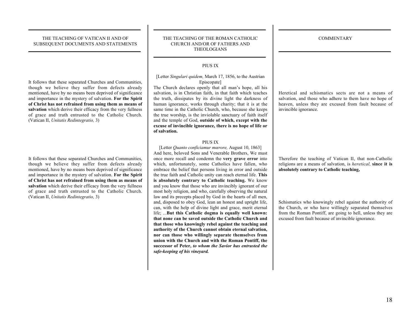$\overline{\phantom{a}}$  , and the contract of the contract of the contract of the contract of the contract of the contract of the contract of the contract of the contract of the contract of the contract of the contract of the contrac

 $\overline{\phantom{a}}$  , and the contract of the contract of the contract of the contract of the contract of the contract of the contract of the contract of the contract of the contract of the contract of the contract of the contrac

#### THE TEACHING OF VATICAN II AND OF SUBSEQUENT DOCUMENTS AND STATEMENTS  $\overline{\phantom{a}}$  , and the contract of the contract of the contract of the contract of the contract of the contract of the contract of the contract of the contract of the contract of the contract of the contract of the contrac

 $\overline{\phantom{a}}$  , and the contract of the contract of the contract of the contract of the contract of the contract of the contract of the contract of the contract of the contract of the contract of the contract of the contrac

It follows that these separated Churches and Communities, though we believe they suffer from defects already mentioned, have by no means been deprived of significance and importance in the mystery of salvation. For the Spirit of Christ has not refrained from using them as means of salvation which derive their efficacy from the very fullness of grace and truth entrusted to the Catholic Church. (Vatican II, *Unitatis Redintegratio,* 3)

It follows that these separated Churches and Communities, though we believe they suffer from defects already mentioned, have by no means been deprived of significance and importance in the mystery of salvation. For the Spirit of Christ has not refrained from using them as means of salvation which derive their efficacy from the very fullness of grace and truth entrusted to the Catholic Church. (Vatican II, *Unitatis Redintegratio,* 3)

#### THE TEACHING OF THE ROMAN CATHOLIC CHURCH AND/OR OF FATHERS AND THEOLOGIANS

 $\overline{\phantom{a}}$  , and the contract of the contract of the contract of the contract of the contract of the contract of the contract of the contract of the contract of the contract of the contract of the contract of the contrac

#### PIUS IX

\_\_\_\_\_\_\_\_\_\_\_\_\_\_\_\_\_\_\_\_\_\_\_\_\_\_\_\_\_\_\_\_\_\_\_\_\_\_\_\_\_\_\_\_\_\_\_\_

#### [Letter *Singulari quidem,* March 17, 1856, to the Austrian Episcopate]

The Church declares openly that all man's hope, all his salvation, is in Christian faith, in that faith which teaches the truth, dissipates by its divine light the darkness of human ignorance, works through charity; that it is at the same time in the Catholic Church, who, because she keeps the true worship, is the inviolable sanctuary of faith itself and the temple of God, outside of which, except with the excuse of invincible ignorance, there is no hope of life or of salvation.

#### PIUS IX

[Letter *Quanto conficiamur mœrore,* August 10, 1863] And here, beloved Sons and Venerable Brothers, We must once more recall and condemn the very grave error into which, unfortunately, some Catholics have fallen, who embrace the belief that persons living in error and outside the true faith and Catholic unity can reach eternal life. This is absolutely contrary to Catholic teaching. We know and you know that those who are invincibly ignorant of our most holy religion, and who, carefully observing the natural law and its precepts placed by God in the hearts of all men, and, disposed to obey God, lean an honest and upright life, can, with the help of divine light and grace, merit eternal life; ...But this Catholic dogma is equally well known: that none can be saved outside the Catholic Church and that those who knowingly rebel against the teaching and authority of the Church cannot obtain eternal salvation, nor can those who willingly separate themselves from union with the Church and with the Roman Pontiff, the successor of Peter, *to whom the Savior has entrusted the safe-keeping of his vineyard.*

Heretical and schismatics sects are not a means of salvation, and those who adhere to them have no hope of heaven, unless they are excused from fault because of invincible ignorance.

Therefore the teaching of Vatican II, that non-Catholic religions are a means of salvation, is *heretical,* since it is absolutely contrary to Catholic teaching,

Schismatics who knowingly rebel against the authority of the Church, or who have willingly separated themselves from the Roman Pontiff, are going to hell, unless they are excused from fault because of invincible ignorance.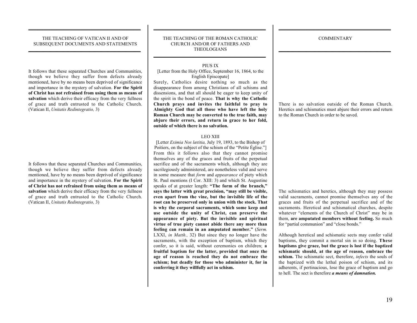$\overline{\phantom{a}}$  , and the contract of the contract of the contract of the contract of the contract of the contract of the contract of the contract of the contract of the contract of the contract of the contract of the contrac

 $\overline{\phantom{a}}$  , and the contract of the contract of the contract of the contract of the contract of the contract of the contract of the contract of the contract of the contract of the contract of the contract of the contrac

#### THE TEACHING OF VATICAN II AND OF SUBSEQUENT DOCUMENTS AND STATEMENTS  $\overline{\phantom{a}}$  , and the contract of the contract of the contract of the contract of the contract of the contract of the contract of the contract of the contract of the contract of the contract of the contract of the contrac

 $\overline{\phantom{a}}$  , and the contract of the contract of the contract of the contract of the contract of the contract of the contract of the contract of the contract of the contract of the contract of the contract of the contrac

It follows that these separated Churches and Communities, though we believe they suffer from defects already mentioned, have by no means been deprived of significance and importance in the mystery of salvation. For the Spirit of Christ has not refrained from using them as means of salvation which derive their efficacy from the very fullness of grace and truth entrusted to the Catholic Church. (Vatican II, *Unitatis Redintegratio,* 3)

It follows that these separated Churches and Communities, though we believe they suffer from defects already mentioned, have by no means been deprived of significance and importance in the mystery of salvation. For the Spirit of Christ has not refrained from using them as means of salvation which derive their efficacy from the very fullness of grace and truth entrusted to the Catholic Church. (Vatican II, *Unitatis Redintegratio,* 3)

#### THE TEACHING OF THE ROMAN CATHOLIC CHURCH AND/OR OF FATHERS AND THEOLOGIANS

\_\_\_\_\_\_\_\_\_\_\_\_\_\_\_\_\_\_\_\_\_\_\_\_\_\_\_\_\_\_\_\_\_\_\_\_\_\_\_\_\_\_\_\_\_\_\_\_

 $\overline{\phantom{a}}$  , and the contract of the contract of the contract of the contract of the contract of the contract of the contract of the contract of the contract of the contract of the contract of the contract of the contrac

### PIUS IX

[Letter from the Holy Office, September 16, 1864, to the English Episcopate]

Surely, Catholics desire nothing so much as the disappearance from among Christians of all schisms and dissensions, and that all should be eager to keep unity of the spirit in the bond of peace. That is why the Catholic Church prays and invites the faithful to pray to Almighty God that all those who have left the holy Roman Church may be converted to the true faith, may abjure their errors, and return in grace to her fold, outside of which there is no salvation.

#### LEO XIII

[Letter *Eximia Nos lætitia,* July 19, 1893, to the Bishop of Poitiers, on the subject of the schism of the "Petite Église."] From this it follows also that they cannot promise themselves any of the graces and fruits of the perpetual sacrifice and of the sacraments which, although they are sacrilegiously administered, are nonetheless valid and serve in some measure that *form* and *appearance* of piety which St. Paul mentions (I Cor. XIII: 3) and which St. Augustine speaks of at greater length: "The form of the branch," says the latter with great precision, "may still be visible, even apart from the vine, but the invisible life of the root can be preserved only in union with the stock. That is why the corporal sacraments, which some keep and use outside the unity of Christ, can preserve the appearance of piety. But the invisible and spiritual virtue of true piety cannot abide there any more than feeling can remain in an amputated member." (*Serm.* LXXI, *in Matth.*, 32) But since they no longer have the sacraments, with the exception of baptism, which they confer, so it is said, without ceremonies on children; a fruitful baptism for the latter, provided that once the age of reason is reached they do not embrace the schism; but deadly for those who administer it, for in conferring it they willfully act in schism.

There is no salvation outside of the Roman Church. Heretics and schismatics must abjure their errors and return to the Roman Church in order to be saved.

The schismatics and heretics, although they may possess valid sacraments, cannot promise themselves any of the graces and fruits of the perpetual sacrifice and of the sacraments. Heretical and schismatical churches, despite whatever "elements of the Church of Christ" may be in them, are amputated members without feeling. So much for "partial communion" and "close bonds."

Although heretical and schismatic sects may confer valid baptisms, they commit a mortal sin in so doing. These baptisms give grace, but the grace is lost if the baptized schismatic should, at the age of reason, embrace the schism. The schismatic sect, therefore, *infects* the souls of the baptized with the lethal poison of schism, and its adherents, if pertinacious, lose the grace of baptism and go to hell. The sect is therefore *a means of damnation.*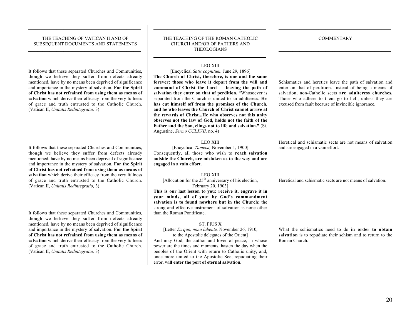$\overline{\phantom{a}}$  , and the contract of the contract of the contract of the contract of the contract of the contract of the contract of the contract of the contract of the contract of the contract of the contract of the contrac

 $\overline{\phantom{a}}$  , and the contract of the contract of the contract of the contract of the contract of the contract of the contract of the contract of the contract of the contract of the contract of the contract of the contrac

#### THE TEACHING OF VATICAN II AND OF SUBSEQUENT DOCUMENTS AND STATEMENTS  $\overline{\phantom{a}}$  , and the contract of the contract of the contract of the contract of the contract of the contract of the contract of the contract of the contract of the contract of the contract of the contract of the contrac

 $\overline{\phantom{a}}$  , and the contract of the contract of the contract of the contract of the contract of the contract of the contract of the contract of the contract of the contract of the contract of the contract of the contrac

It follows that these separated Churches and Communities, though we believe they suffer from defects already mentioned, have by no means been deprived of significance and importance in the mystery of salvation. For the Spirit of Christ has not refrained from using them as means of salvation which derive their efficacy from the very fullness of grace and truth entrusted to the Catholic Church. (Vatican II, *Unitatis Redintegratio,* 3)

It follows that these separated Churches and Communities, though we believe they suffer from defects already mentioned, have by no means been deprived of significance and importance in the mystery of salvation. For the Spirit of Christ has not refrained from using them as means of salvation which derive their efficacy from the very fullness of grace and truth entrusted to the Catholic Church. (Vatican II, *Unitatis Redintegratio,* 3)

It follows that these separated Churches and Communities, though we believe they suffer from defects already mentioned, have by no means been deprived of significance and importance in the mystery of salvation. For the Spirit of Christ has not refrained from using them as means of salvation which derive their efficacy from the very fullness of grace and truth entrusted to the Catholic Church. (Vatican II, *Unitatis Redintegratio,* 3)

#### THE TEACHING OF THE ROMAN CATHOLIC CHURCH AND/OR OF FATHERS AND THEOLOGIANS

\_\_\_\_\_\_\_\_\_\_\_\_\_\_\_\_\_\_\_\_\_\_\_\_\_\_\_\_\_\_\_\_\_\_\_\_\_\_\_\_\_\_\_\_\_\_\_\_

 $\overline{\phantom{a}}$  , and the contract of the contract of the contract of the contract of the contract of the contract of the contract of the contract of the contract of the contract of the contract of the contract of the contrac

#### LEO XIII

[Encyclical *Satis cognitum,* June 29, 1896]

The Church of Christ, therefore, is one and the same forever; those who leave it depart from the will and command of Christ the Lord — leaving the path of salvation they enter on that of perdition. "Whosoever is separated from the Church is united to an adulteress. He has cut himself off from the promises of the Church, and he who leaves the Church of Christ cannot arrive at the rewards of Christ...He who observes not this unity observes not the law of God, holds not the faith of the Father and the Son, clings not to life and salvation." (St. Augustine, *Sermo CCLXVII,* no. 4)

#### LEO XIII

[Encyclical *Tametsi,* November 1, 1900] Consequently, all those who wish to reach salvation outside the Church, are mistaken as to the way and are engaged in a vain effort.

#### LEO XIII

[Allocution for the  $25<sup>th</sup>$  anniversary of his election, February 20, 1903]

This is our last lesson to you: receive it, engrave it in your minds, all of you: by God's commandment salvation is to found nowhere but in the Church; the strong and effective instrument of salvation is none other than the Roman Pontificate.

#### ST. PIUS X

#### [Letter *Ex quo, nono labente,* November 26, 1910, to the Apostolic delegates of the Orient]

And may God, the author and lover of peace, in whose power are the times and moments, hasten the day when the peoples of the Orient with return to Catholic unity, and, once more united to the Apostolic See, repudiating their error, will enter the port of eternal salvation.

Schismatics and heretics leave the path of salvation and enter on that of perdition. Instead of being a means of salvation, non-Catholic sects are adulteress churches. Those who adhere to them go to hell, unless they are excused from fault because of invincible ignorance.

Heretical and schismatic sects are not means of salvation and are engaged in a vain effort.

Heretical and schismatic sects are not means of salvation.

What the schismatics need to do in order to obtain salvation is to repudiate their schism and to return to the Roman Church.